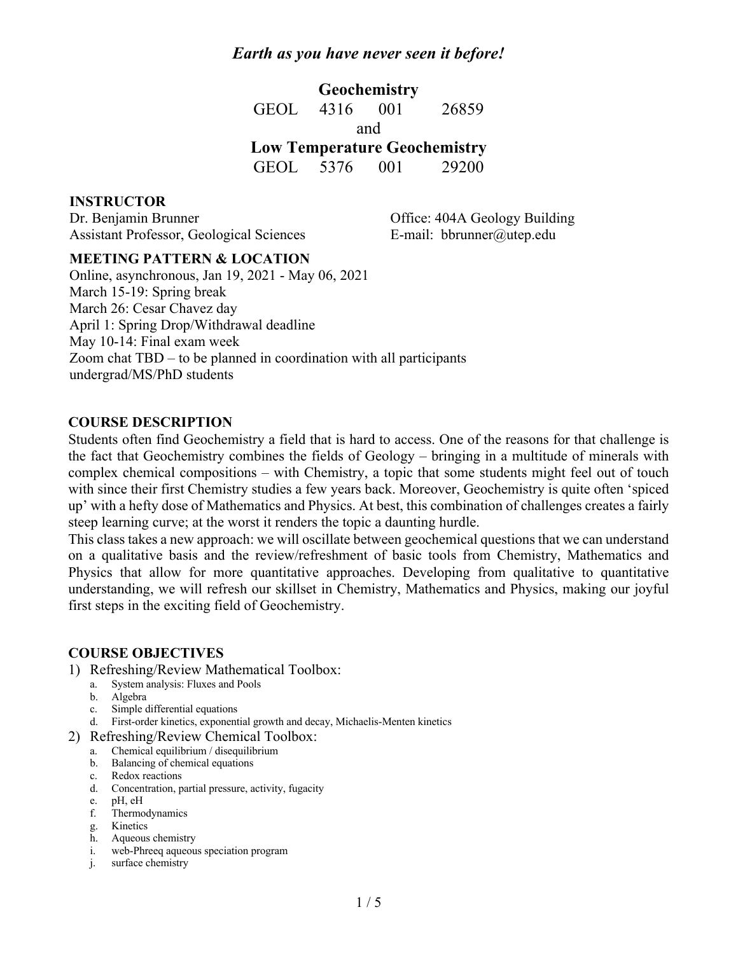**Geochemistry** GEOL 4316 001 26859 and **Low Temperature Geochemistry** GEOL 5376 001 29200

**INSTRUCTOR**

Dr. Benjamin Brunner Assistant Professor, Geological Sciences Office: 404A Geology Building E-mail: bbrunner@utep.edu

#### **MEETING PATTERN & LOCATION**

Online, asynchronous, Jan 19, 2021 - May 06, 2021 March 15-19: Spring break March 26: Cesar Chavez day April 1: Spring Drop/Withdrawal deadline May 10-14: Final exam week Zoom chat TBD – to be planned in coordination with all participants undergrad/MS/PhD students

#### **COURSE DESCRIPTION**

Students often find Geochemistry a field that is hard to access. One of the reasons for that challenge is the fact that Geochemistry combines the fields of Geology – bringing in a multitude of minerals with complex chemical compositions – with Chemistry, a topic that some students might feel out of touch with since their first Chemistry studies a few years back. Moreover, Geochemistry is quite often 'spiced up' with a hefty dose of Mathematics and Physics. At best, this combination of challenges creates a fairly steep learning curve; at the worst it renders the topic a daunting hurdle.

This class takes a new approach: we will oscillate between geochemical questions that we can understand on a qualitative basis and the review/refreshment of basic tools from Chemistry, Mathematics and Physics that allow for more quantitative approaches. Developing from qualitative to quantitative understanding, we will refresh our skillset in Chemistry, Mathematics and Physics, making our joyful first steps in the exciting field of Geochemistry.

#### **COURSE OBJECTIVES**

- 1) Refreshing/Review Mathematical Toolbox:
	- a. System analysis: Fluxes and Pools
	- b. Algebra
	- c. Simple differential equations
	- d. First-order kinetics, exponential growth and decay, Michaelis-Menten kinetics
- 2) Refreshing/Review Chemical Toolbox:
	- a. Chemical equilibrium / disequilibrium
	- b. Balancing of chemical equations
	- c. Redox reactions
	- d. Concentration, partial pressure, activity, fugacity
	- e. pH, eH
	- f. Thermodynamics
	- g. Kinetics
	- h. Aqueous chemistry<br>i. web-Phreeq aqueou
	- web-Phreeq aqueous speciation program
	- j. surface chemistry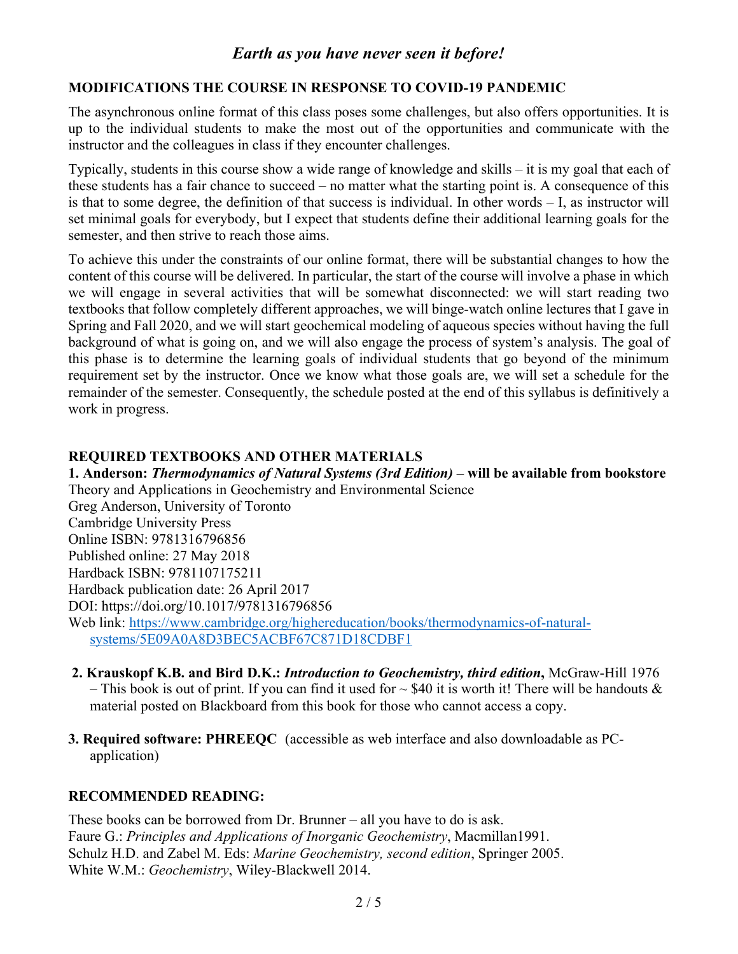#### **MODIFICATIONS THE COURSE IN RESPONSE TO COVID-19 PANDEMIC**

The asynchronous online format of this class poses some challenges, but also offers opportunities. It is up to the individual students to make the most out of the opportunities and communicate with the instructor and the colleagues in class if they encounter challenges.

Typically, students in this course show a wide range of knowledge and skills – it is my goal that each of these students has a fair chance to succeed – no matter what the starting point is. A consequence of this is that to some degree, the definition of that success is individual. In other words – I, as instructor will set minimal goals for everybody, but I expect that students define their additional learning goals for the semester, and then strive to reach those aims.

To achieve this under the constraints of our online format, there will be substantial changes to how the content of this course will be delivered. In particular, the start of the course will involve a phase in which we will engage in several activities that will be somewhat disconnected: we will start reading two textbooks that follow completely different approaches, we will binge-watch online lectures that I gave in Spring and Fall 2020, and we will start geochemical modeling of aqueous species without having the full background of what is going on, and we will also engage the process of system's analysis. The goal of this phase is to determine the learning goals of individual students that go beyond of the minimum requirement set by the instructor. Once we know what those goals are, we will set a schedule for the remainder of the semester. Consequently, the schedule posted at the end of this syllabus is definitively a work in progress.

#### **REQUIRED TEXTBOOKS AND OTHER MATERIALS**

**1. Anderson:** *Thermodynamics of Natural Systems (3rd Edition)* **– will be available from bookstore** Theory and Applications in Geochemistry and Environmental Science Greg Anderson, University of Toronto Cambridge University Press Online ISBN: 9781316796856 Published online: 27 May 2018 Hardback ISBN: 9781107175211 Hardback publication date: 26 April 2017 DOI: https://doi.org/10.1017/9781316796856 Web link: https://www.cambridge.org/highereducation/books/thermodynamics-of-naturalsystems/5E09A0A8D3BEC5ACBF67C871D18CDBF1

- **2. Krauskopf K.B. and Bird D.K.:** *Introduction to Geochemistry, third edition***,** McGraw-Hill 1976 – This book is out of print. If you can find it used for  $\sim$  \$40 it is worth it! There will be handouts & material posted on Blackboard from this book for those who cannot access a copy.
- **3. Required software: PHREEQC** (accessible as web interface and also downloadable as PCapplication)

## **RECOMMENDED READING:**

These books can be borrowed from Dr. Brunner – all you have to do is ask. Faure G.: *Principles and Applications of Inorganic Geochemistry*, Macmillan1991. Schulz H.D. and Zabel M. Eds: *Marine Geochemistry, second edition*, Springer 2005. White W.M.: *Geochemistry*, Wiley-Blackwell 2014.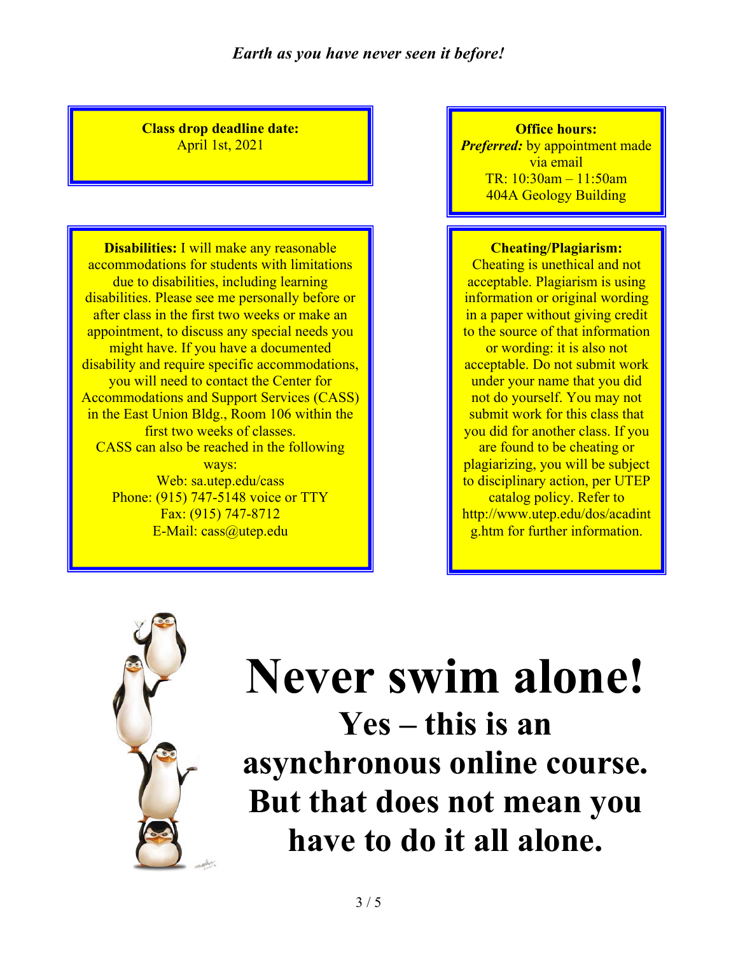**Class drop deadline date:** April 1st, 2021

**Disabilities:** I will make any reasonable accommodations for students with limitations due to disabilities, including learning disabilities. Please see me personally before or after class in the first two weeks or make an appointment, to discuss any special needs you might have. If you have a documented disability and require specific accommodations, you will need to contact the Center for Accommodations and Support Services (CASS) in the East Union Bldg., Room 106 within the first two weeks of classes. CASS can also be reached in the following ways: Web: sa.utep.edu/cass Phone: (915) 747-5148 voice or TTY Fax: (915) 747-8712 E-Mail: cass@utep.edu

**Office hours:** *Preferred:* by appointment made via email TR: 10:30am – 11:50am 404A Geology Building

#### **Cheating/Plagiarism:**

Cheating is unethical and not acceptable. Plagiarism is using information or original wording in a paper without giving credit to the source of that information or wording: it is also not acceptable. Do not submit work under your name that you did not do yourself. You may not submit work for this class that you did for another class. If you are found to be cheating or plagiarizing, you will be subject to disciplinary action, per UTEP catalog policy. Refer to http://www.utep.edu/dos/acadint g.htm for further information.



# **Never swim alone!**

**Yes – this is an asynchronous online course. But that does not mean you have to do it all alone.**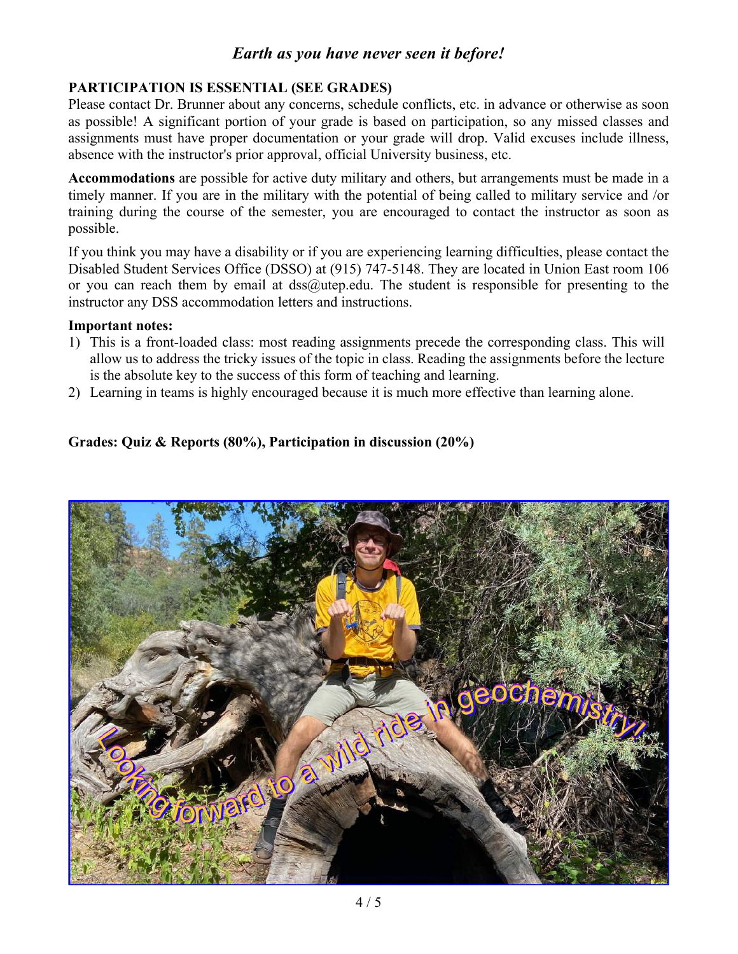#### **PARTICIPATION IS ESSENTIAL (SEE GRADES)**

Please contact Dr. Brunner about any concerns, schedule conflicts, etc. in advance or otherwise as soon as possible! A significant portion of your grade is based on participation, so any missed classes and assignments must have proper documentation or your grade will drop. Valid excuses include illness, absence with the instructor's prior approval, official University business, etc.

**Accommodations** are possible for active duty military and others, but arrangements must be made in a timely manner. If you are in the military with the potential of being called to military service and /or training during the course of the semester, you are encouraged to contact the instructor as soon as possible.

If you think you may have a disability or if you are experiencing learning difficulties, please contact the Disabled Student Services Office (DSSO) at (915) 747-5148. They are located in Union East room 106 or you can reach them by email at  $dss@$ utep.edu. The student is responsible for presenting to the instructor any DSS accommodation letters and instructions.

#### **Important notes:**

- 1) This is a front-loaded class: most reading assignments precede the corresponding class. This will allow us to address the tricky issues of the topic in class. Reading the assignments before the lecture is the absolute key to the success of this form of teaching and learning.
- 2) Learning in teams is highly encouraged because it is much more effective than learning alone.

#### **Grades: Quiz & Reports (80%), Participation in discussion (20%)**